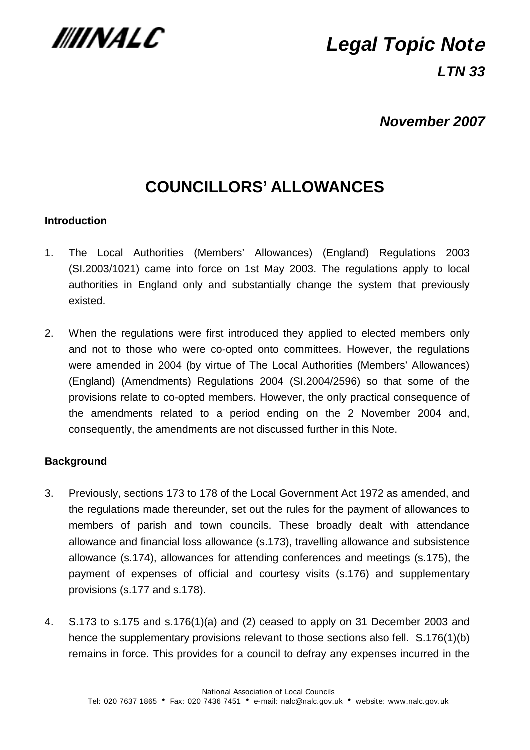

# **Legal Topic Not**<sup>e</sup>

**LTN 33**

## **November 2007**

## **COUNCILLORS' ALLOWANCES**

#### **Introduction**

- 1. The Local Authorities (Members' Allowances) (England) Regulations 2003 (SI.2003/1021) came into force on 1st May 2003. The regulations apply to local authorities in England only and substantially change the system that previously existed.
- 2. When the regulations were first introduced they applied to elected members only and not to those who were co-opted onto committees. However, the regulations were amended in 2004 (by virtue of The Local Authorities (Members' Allowances) (England) (Amendments) Regulations 2004 (SI.2004/2596) so that some of the provisions relate to co-opted members. However, the only practical consequence of the amendments related to a period ending on the 2 November 2004 and, consequently, the amendments are not discussed further in this Note.

#### **Background**

- 3. Previously, sections 173 to 178 of the Local Government Act 1972 as amended, and the regulations made thereunder, set out the rules for the payment of allowances to members of parish and town councils. These broadly dealt with attendance allowance and financial loss allowance (s.173), travelling allowance and subsistence allowance (s.174), allowances for attending conferences and meetings (s.175), the payment of expenses of official and courtesy visits (s.176) and supplementary provisions (s.177 and s.178).
- 4. S.173 to s.175 and s.176(1)(a) and (2) ceased to apply on 31 December 2003 and hence the supplementary provisions relevant to those sections also fell. S.176(1)(b) remains in force. This provides for a council to defray any expenses incurred in the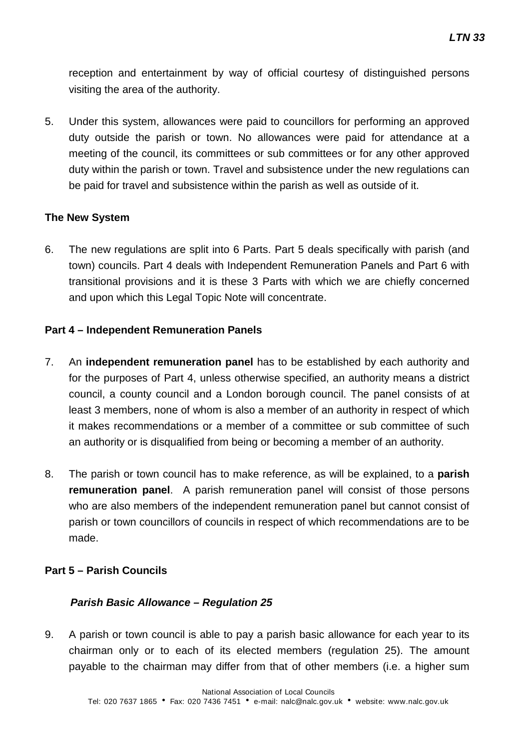reception and entertainment by way of official courtesy of distinguished persons visiting the area of the authority.

5. Under this system, allowances were paid to councillors for performing an approved duty outside the parish or town. No allowances were paid for attendance at a meeting of the council, its committees or sub committees or for any other approved duty within the parish or town. Travel and subsistence under the new regulations can be paid for travel and subsistence within the parish as well as outside of it.

#### **The New System**

6. The new regulations are split into 6 Parts. Part 5 deals specifically with parish (and town) councils. Part 4 deals with Independent Remuneration Panels and Part 6 with transitional provisions and it is these 3 Parts with which we are chiefly concerned and upon which this Legal Topic Note will concentrate.

#### **Part 4 – Independent Remuneration Panels**

- 7. An **independent remuneration panel** has to be established by each authority and for the purposes of Part 4, unless otherwise specified, an authority means a district council, a county council and a London borough council. The panel consists of at least 3 members, none of whom is also a member of an authority in respect of which it makes recommendations or a member of a committee or sub committee of such an authority or is disqualified from being or becoming a member of an authority.
- 8. The parish or town council has to make reference, as will be explained, to a **parish remuneration panel**. A parish remuneration panel will consist of those persons who are also members of the independent remuneration panel but cannot consist of parish or town councillors of councils in respect of which recommendations are to be made.

#### **Part 5 – Parish Councils**

#### **Parish Basic Allowance – Regulation 25**

9. A parish or town council is able to pay a parish basic allowance for each year to its chairman only or to each of its elected members (regulation 25). The amount payable to the chairman may differ from that of other members (i.e. a higher sum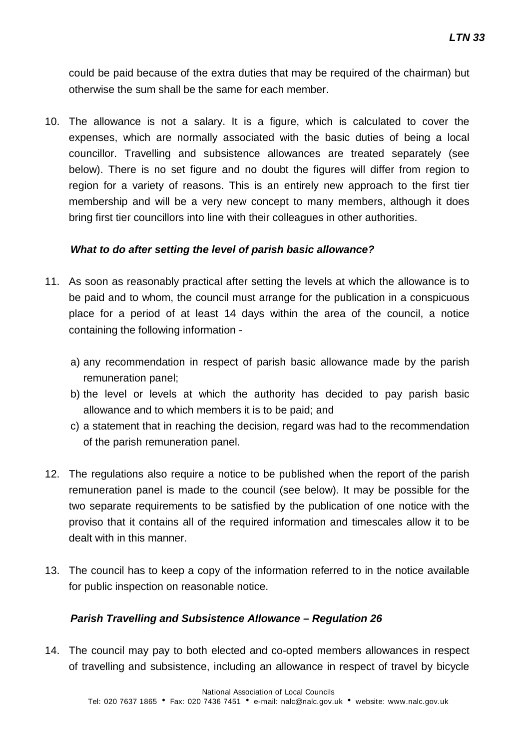could be paid because of the extra duties that may be required of the chairman) but otherwise the sum shall be the same for each member.

10. The allowance is not a salary. It is a figure, which is calculated to cover the expenses, which are normally associated with the basic duties of being a local councillor. Travelling and subsistence allowances are treated separately (see below). There is no set figure and no doubt the figures will differ from region to region for a variety of reasons. This is an entirely new approach to the first tier membership and will be a very new concept to many members, although it does bring first tier councillors into line with their colleagues in other authorities.

#### **What to do after setting the level of parish basic allowance?**

- 11. As soon as reasonably practical after setting the levels at which the allowance is to be paid and to whom, the council must arrange for the publication in a conspicuous place for a period of at least 14 days within the area of the council, a notice containing the following information
	- a) any recommendation in respect of parish basic allowance made by the parish remuneration panel;
	- b) the level or levels at which the authority has decided to pay parish basic allowance and to which members it is to be paid; and
	- c) a statement that in reaching the decision, regard was had to the recommendation of the parish remuneration panel.
- 12. The regulations also require a notice to be published when the report of the parish remuneration panel is made to the council (see below). It may be possible for the two separate requirements to be satisfied by the publication of one notice with the proviso that it contains all of the required information and timescales allow it to be dealt with in this manner.
- 13. The council has to keep a copy of the information referred to in the notice available for public inspection on reasonable notice.

#### **Parish Travelling and Subsistence Allowance – Regulation 26**

14. The council may pay to both elected and co-opted members allowances in respect of travelling and subsistence, including an allowance in respect of travel by bicycle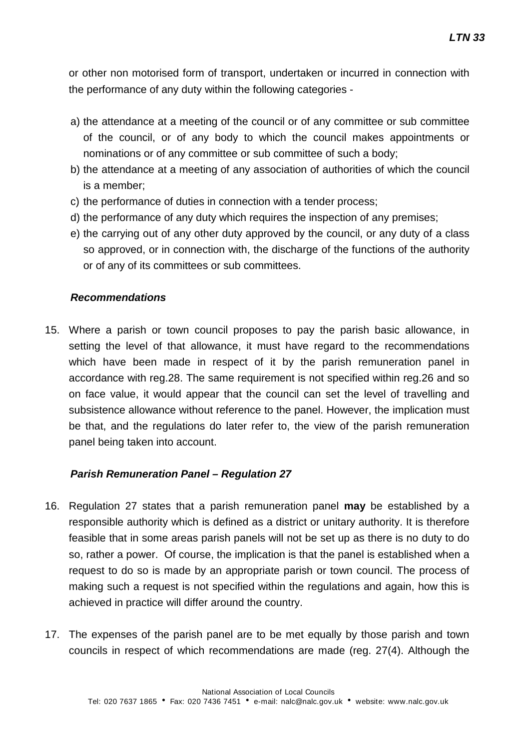or other non motorised form of transport, undertaken or incurred in connection with the performance of any duty within the following categories -

- a) the attendance at a meeting of the council or of any committee or sub committee of the council, or of any body to which the council makes appointments or nominations or of any committee or sub committee of such a body;
- b) the attendance at a meeting of any association of authorities of which the council is a member;
- c) the performance of duties in connection with a tender process;
- d) the performance of any duty which requires the inspection of any premises;
- e) the carrying out of any other duty approved by the council, or any duty of a class so approved, or in connection with, the discharge of the functions of the authority or of any of its committees or sub committees.

#### **Recommendations**

15. Where a parish or town council proposes to pay the parish basic allowance, in setting the level of that allowance, it must have regard to the recommendations which have been made in respect of it by the parish remuneration panel in accordance with reg.28. The same requirement is not specified within reg.26 and so on face value, it would appear that the council can set the level of travelling and subsistence allowance without reference to the panel. However, the implication must be that, and the regulations do later refer to, the view of the parish remuneration panel being taken into account.

#### **Parish Remuneration Panel – Regulation 27**

- 16. Regulation 27 states that a parish remuneration panel **may** be established by a responsible authority which is defined as a district or unitary authority. It is therefore feasible that in some areas parish panels will not be set up as there is no duty to do so, rather a power. Of course, the implication is that the panel is established when a request to do so is made by an appropriate parish or town council. The process of making such a request is not specified within the regulations and again, how this is achieved in practice will differ around the country.
- 17. The expenses of the parish panel are to be met equally by those parish and town councils in respect of which recommendations are made (reg. 27(4). Although the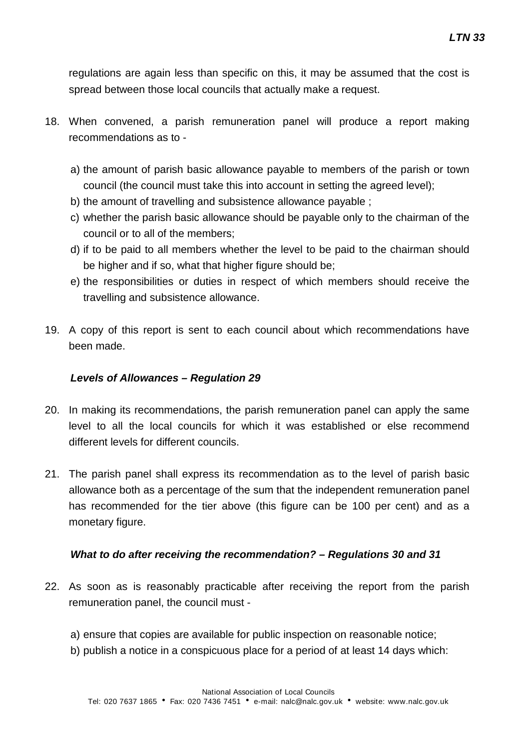regulations are again less than specific on this, it may be assumed that the cost is spread between those local councils that actually make a request.

- 18. When convened, a parish remuneration panel will produce a report making recommendations as to
	- a) the amount of parish basic allowance payable to members of the parish or town council (the council must take this into account in setting the agreed level);
	- b) the amount of travelling and subsistence allowance payable ;
	- c) whether the parish basic allowance should be payable only to the chairman of the council or to all of the members;
	- d) if to be paid to all members whether the level to be paid to the chairman should be higher and if so, what that higher figure should be;
	- e) the responsibilities or duties in respect of which members should receive the travelling and subsistence allowance.
- 19. A copy of this report is sent to each council about which recommendations have been made.

#### **Levels of Allowances – Regulation 29**

- 20. In making its recommendations, the parish remuneration panel can apply the same level to all the local councils for which it was established or else recommend different levels for different councils.
- 21. The parish panel shall express its recommendation as to the level of parish basic allowance both as a percentage of the sum that the independent remuneration panel has recommended for the tier above (this figure can be 100 per cent) and as a monetary figure.

#### **What to do after receiving the recommendation? – Regulations 30 and 31**

- 22. As soon as is reasonably practicable after receiving the report from the parish remuneration panel, the council must
	- a) ensure that copies are available for public inspection on reasonable notice;
	- b) publish a notice in a conspicuous place for a period of at least 14 days which: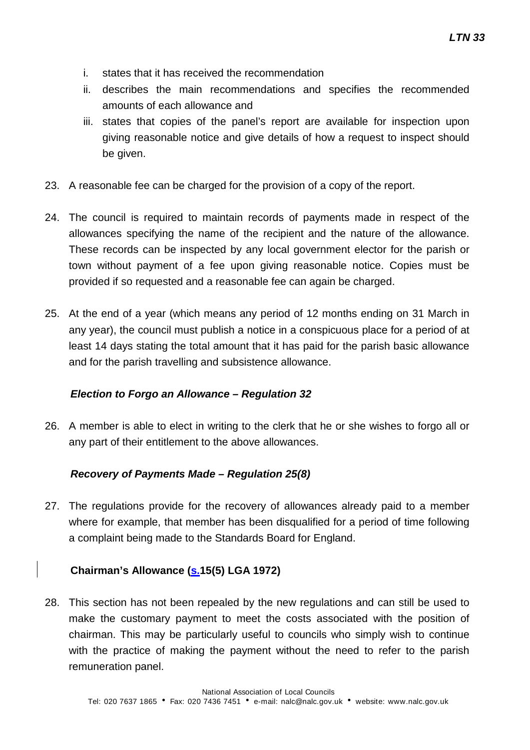- i. states that it has received the recommendation
- ii. describes the main recommendations and specifies the recommended amounts of each allowance and
- iii. states that copies of the panel's report are available for inspection upon giving reasonable notice and give details of how a request to inspect should be given.
- 23. A reasonable fee can be charged for the provision of a copy of the report.
- 24. The council is required to maintain records of payments made in respect of the allowances specifying the name of the recipient and the nature of the allowance. These records can be inspected by any local government elector for the parish or town without payment of a fee upon giving reasonable notice. Copies must be provided if so requested and a reasonable fee can again be charged.
- 25. At the end of a year (which means any period of 12 months ending on 31 March in any year), the council must publish a notice in a conspicuous place for a period of at least 14 days stating the total amount that it has paid for the parish basic allowance and for the parish travelling and subsistence allowance.

#### **Election to Forgo an Allowance – Regulation 32**

26. A member is able to elect in writing to the clerk that he or she wishes to forgo all or any part of their entitlement to the above allowances.

#### **Recovery of Payments Made – Regulation 25(8)**

27. The regulations provide for the recovery of allowances already paid to a member where for example, that member has been disqualified for a period of time following a complaint being made to the Standards Board for England.

#### **Chairman's Allowance (s.15(5) LGA 1972)**

28. This section has not been repealed by the new regulations and can still be used to make the customary payment to meet the costs associated with the position of chairman. This may be particularly useful to councils who simply wish to continue with the practice of making the payment without the need to refer to the parish remuneration panel.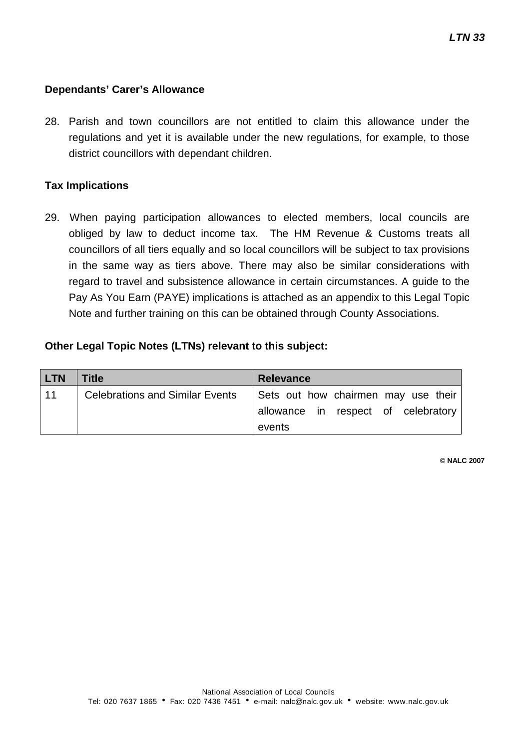#### **Dependants' Carer's Allowance**

28. Parish and town councillors are not entitled to claim this allowance under the regulations and yet it is available under the new regulations, for example, to those district councillors with dependant children.

#### **Tax Implications**

29. When paying participation allowances to elected members, local councils are obliged by law to deduct income tax. The HM Revenue & Customs treats all councillors of all tiers equally and so local councillors will be subject to tax provisions in the same way as tiers above. There may also be similar considerations with regard to travel and subsistence allowance in certain circumstances. A guide to the Pay As You Earn (PAYE) implications is attached as an appendix to this Legal Topic Note and further training on this can be obtained through County Associations.

#### **Other Legal Topic Notes (LTNs) relevant to this subject:**

| <b>LTN</b> | Title                                  | <b>Relevance</b>                    |
|------------|----------------------------------------|-------------------------------------|
| 11         | <b>Celebrations and Similar Events</b> | Sets out how chairmen may use their |
|            |                                        | allowance in respect of celebratory |
|            |                                        | events                              |

**© NALC 2007**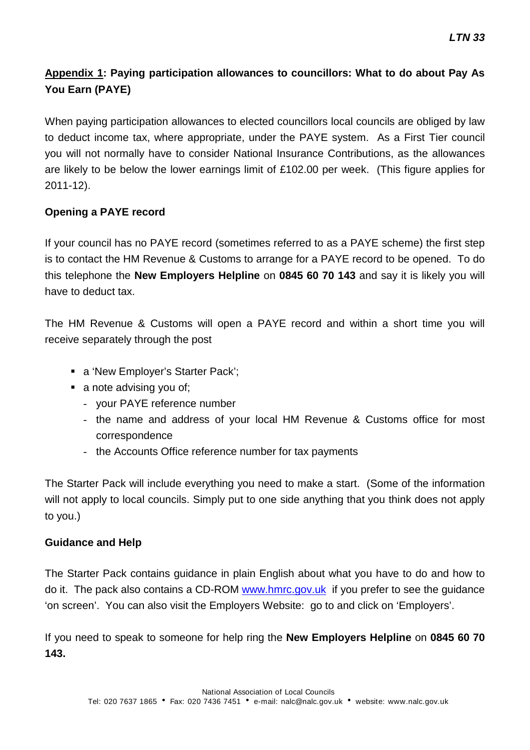### **Appendix 1: Paying participation allowances to councillors: What to do about Pay As You Earn (PAYE)**

When paying participation allowances to elected councillors local councils are obliged by law to deduct income tax, where appropriate, under the PAYE system. As a First Tier council you will not normally have to consider National Insurance Contributions, as the allowances are likely to be below the lower earnings limit of £102.00 per week. (This figure applies for 2011-12).

#### **Opening a PAYE record**

If your council has no PAYE record (sometimes referred to as a PAYE scheme) the first step is to contact the HM Revenue & Customs to arrange for a PAYE record to be opened. To do this telephone the **New Employers Helpline** on **0845 60 70 143** and say it is likely you will have to deduct tax.

The HM Revenue & Customs will open a PAYE record and within a short time you will receive separately through the post

- a 'New Employer's Starter Pack';
- a note advising you of:
	- your PAYE reference number
	- the name and address of your local HM Revenue & Customs office for most correspondence
	- the Accounts Office reference number for tax payments

The Starter Pack will include everything you need to make a start. (Some of the information will not apply to local councils. Simply put to one side anything that you think does not apply to you.)

#### **Guidance and Help**

The Starter Pack contains guidance in plain English about what you have to do and how to do it. The pack also contains a CD-ROM [www.hmrc.gov.uk](http://www.hmrc.gov.uk/) if you prefer to see the guidance 'on screen'. You can also visit the Employers Website: go to and click on 'Employers'.

If you need to speak to someone for help ring the **New Employers Helpline** on **0845 60 70 143.**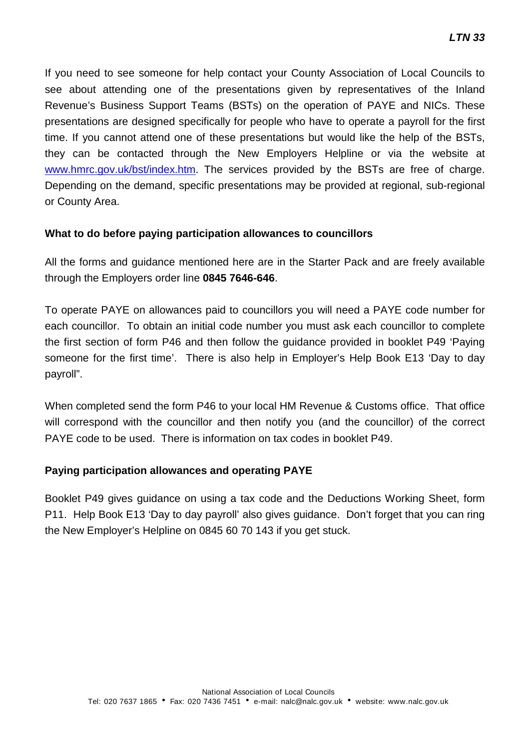If you need to see someone for help contact your County Association of Local Councils to see about attending one of the presentations given by representatives of the Inland Revenue's Business Support Teams (BSTs) on the operation of PAYE and NICs. These presentations are designed specifically for people who have to operate a payroll for the first time. If you cannot attend one of these presentations but would like the help of the BSTs, they can be contacted through the New Employers Helpline or via the website at [www.hmrc.gov.uk/bst/index.htm.](http://www.hmrc.gov.uk/bst/index.htm) The services provided by the BSTs are free of charge. Depending on the demand, specific presentations may be provided at regional, sub-regional or County Area.

#### **What to do before paying participation allowances to councillors**

All the forms and guidance mentioned here are in the Starter Pack and are freely available through the Employers order line **0845 7646-646**.

To operate PAYE on allowances paid to councillors you will need a PAYE code number for each councillor. To obtain an initial code number you must ask each councillor to complete the first section of form P46 and then follow the guidance provided in booklet P49 'Paying someone for the first time'. There is also help in Employer's Help Book E13 'Day to day payroll".

When completed send the form P46 to your local HM Revenue & Customs office. That office will correspond with the councillor and then notify you (and the councillor) of the correct PAYE code to be used. There is information on tax codes in booklet P49.

#### **Paying participation allowances and operating PAYE**

Booklet P49 gives guidance on using a tax code and the Deductions Working Sheet, form P11. Help Book E13 'Day to day payroll' also gives guidance. Don't forget that you can ring the New Employer's Helpline on 0845 60 70 143 if you get stuck.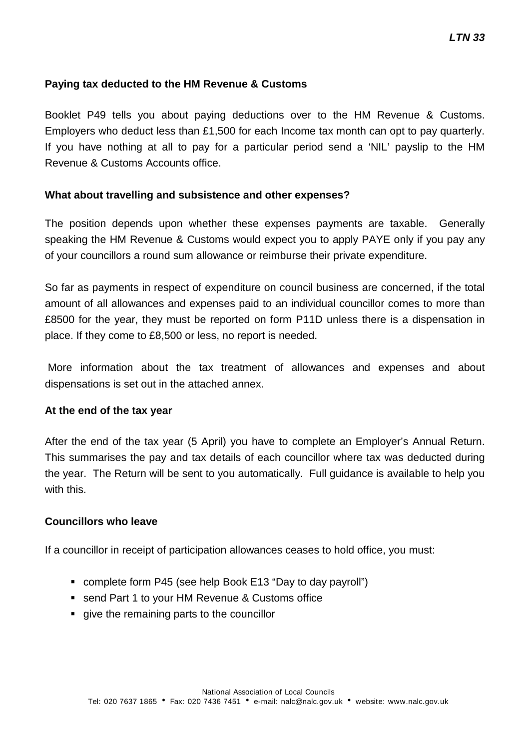#### **Paying tax deducted to the HM Revenue & Customs**

Booklet P49 tells you about paying deductions over to the HM Revenue & Customs. Employers who deduct less than £1,500 for each Income tax month can opt to pay quarterly. If you have nothing at all to pay for a particular period send a 'NIL' payslip to the HM Revenue & Customs Accounts office.

#### **What about travelling and subsistence and other expenses?**

The position depends upon whether these expenses payments are taxable. Generally speaking the HM Revenue & Customs would expect you to apply PAYE only if you pay any of your councillors a round sum allowance or reimburse their private expenditure.

So far as payments in respect of expenditure on council business are concerned, if the total amount of all allowances and expenses paid to an individual councillor comes to more than £8500 for the year, they must be reported on form P11D unless there is a dispensation in place. If they come to £8,500 or less, no report is needed.

More information about the tax treatment of allowances and expenses and about dispensations is set out in the attached annex.

#### **At the end of the tax year**

After the end of the tax year (5 April) you have to complete an Employer's Annual Return. This summarises the pay and tax details of each councillor where tax was deducted during the year. The Return will be sent to you automatically. Full guidance is available to help you with this.

#### **Councillors who leave**

If a councillor in receipt of participation allowances ceases to hold office, you must:

- complete form P45 (see help Book E13 "Day to day payroll")
- send Part 1 to your HM Revenue & Customs office
- qive the remaining parts to the councillor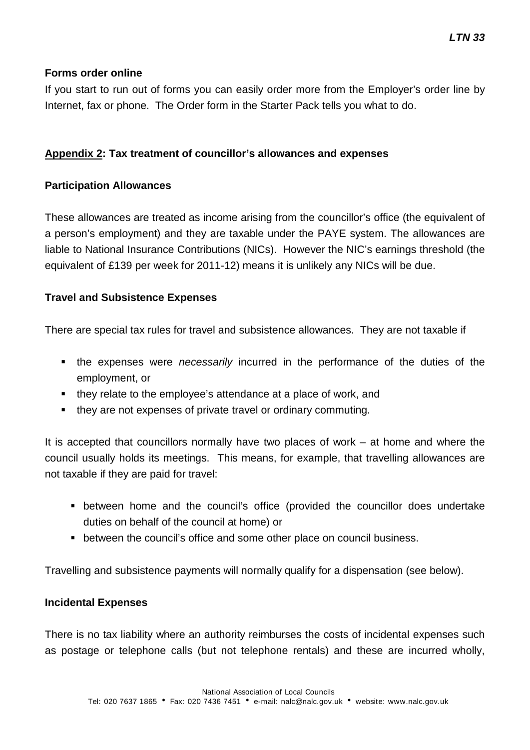#### **Forms order online**

If you start to run out of forms you can easily order more from the Employer's order line by Internet, fax or phone. The Order form in the Starter Pack tells you what to do.

#### **Appendix 2: Tax treatment of councillor's allowances and expenses**

#### **Participation Allowances**

These allowances are treated as income arising from the councillor's office (the equivalent of a person's employment) and they are taxable under the PAYE system. The allowances are liable to National Insurance Contributions (NICs). However the NIC's earnings threshold (the equivalent of £139 per week for 2011-12) means it is unlikely any NICs will be due.

#### **Travel and Subsistence Expenses**

There are special tax rules for travel and subsistence allowances. They are not taxable if

- the expenses were *necessarily* incurred in the performance of the duties of the employment, or
- they relate to the employee's attendance at a place of work, and
- they are not expenses of private travel or ordinary commuting.

It is accepted that councillors normally have two places of work – at home and where the council usually holds its meetings. This means, for example, that travelling allowances are not taxable if they are paid for travel:

- between home and the council's office (provided the councillor does undertake duties on behalf of the council at home) or
- between the council's office and some other place on council business.

Travelling and subsistence payments will normally qualify for a dispensation (see below).

#### **Incidental Expenses**

There is no tax liability where an authority reimburses the costs of incidental expenses such as postage or telephone calls (but not telephone rentals) and these are incurred wholly,